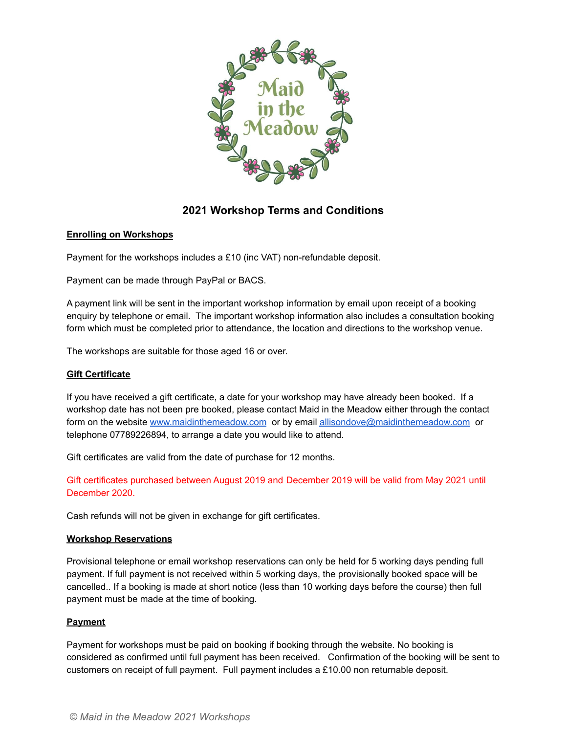

# **2021 Workshop Terms and Conditions**

# **Enrolling on Workshops**

Payment for the workshops includes a £10 (inc VAT) non-refundable deposit.

Payment can be made through PayPal or BACS.

A payment link will be sent in the important workshop information by email upon receipt of a booking enquiry by telephone or email. The important workshop information also includes a consultation booking form which must be completed prior to attendance, the location and directions to the workshop venue.

The workshops are suitable for those aged 16 or over.

#### **Gift Certificate**

If you have received a gift certificate, a date for your workshop may have already been booked. If a workshop date has not been pre booked, please contact Maid in the Meadow either through the contact form on the website [www.maidinthemeadow.com](http://www.maidinthemeadow.com) or by email [allisondove@maidinthemeadow.com](mailto:allisondove@maidinthemeadow.com) or telephone 07789226894, to arrange a date you would like to attend.

Gift certificates are valid from the date of purchase for 12 months.

Gift certificates purchased between August 2019 and December 2019 will be valid from May 2021 until December 2020.

Cash refunds will not be given in exchange for gift certificates.

#### **Workshop Reservations**

Provisional telephone or email workshop reservations can only be held for 5 working days pending full payment. If full payment is not received within 5 working days, the provisionally booked space will be cancelled.. If a booking is made at short notice (less than 10 working days before the course) then full payment must be made at the time of booking.

#### **Payment**

Payment for workshops must be paid on booking if booking through the website. No booking is considered as confirmed until full payment has been received. Confirmation of the booking will be sent to customers on receipt of full payment. Full payment includes a £10.00 non returnable deposit.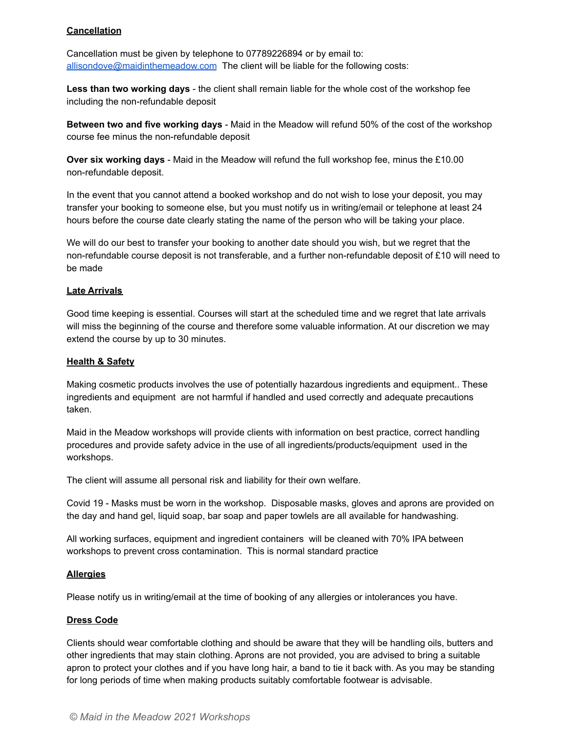## **Cancellation**

Cancellation must be given by telephone to 07789226894 or by email to: [allisondove@maidinthemeadow.com](mailto:allisondove@maidinthemeadow.com) The client will be liable for the following costs:

**Less than two working days** - the client shall remain liable for the whole cost of the workshop fee including the non-refundable deposit

**Between two and five working days** - Maid in the Meadow will refund 50% of the cost of the workshop course fee minus the non-refundable deposit

**Over six working days** - Maid in the Meadow will refund the full workshop fee, minus the £10.00 non-refundable deposit.

In the event that you cannot attend a booked workshop and do not wish to lose your deposit, you may transfer your booking to someone else, but you must notify us in writing/email or telephone at least 24 hours before the course date clearly stating the name of the person who will be taking your place.

We will do our best to transfer your booking to another date should you wish, but we regret that the non-refundable course deposit is not transferable, and a further non-refundable deposit of £10 will need to be made

#### **Late Arrivals**

Good time keeping is essential. Courses will start at the scheduled time and we regret that late arrivals will miss the beginning of the course and therefore some valuable information. At our discretion we may extend the course by up to 30 minutes.

#### **Health & Safety**

Making cosmetic products involves the use of potentially hazardous ingredients and equipment.. These ingredients and equipment are not harmful if handled and used correctly and adequate precautions taken.

Maid in the Meadow workshops will provide clients with information on best practice, correct handling procedures and provide safety advice in the use of all ingredients/products/equipment used in the workshops.

The client will assume all personal risk and liability for their own welfare.

Covid 19 - Masks must be worn in the workshop. Disposable masks, gloves and aprons are provided on the day and hand gel, liquid soap, bar soap and paper towlels are all available for handwashing.

All working surfaces, equipment and ingredient containers will be cleaned with 70% IPA between workshops to prevent cross contamination. This is normal standard practice

#### **Allergies**

Please notify us in writing/email at the time of booking of any allergies or intolerances you have.

#### **Dress Code**

Clients should wear comfortable clothing and should be aware that they will be handling oils, butters and other ingredients that may stain clothing. Aprons are not provided, you are advised to bring a suitable apron to protect your clothes and if you have long hair, a band to tie it back with. As you may be standing for long periods of time when making products suitably comfortable footwear is advisable.